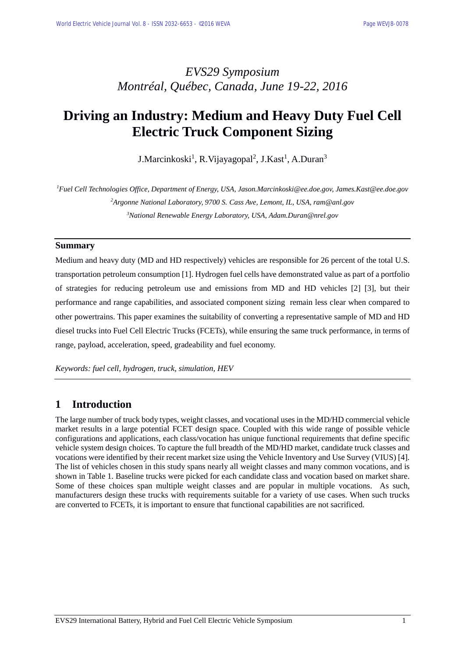## *EVS29 Symposium Montréal, Québec, Canada, June 19-22, 2016*

# **Driving an Industry: Medium and Heavy Duty Fuel Cell Electric Truck Component Sizing**

J.Marcinkoski<sup>1</sup>, R.Vijayagopal<sup>2</sup>, J.Kast<sup>1</sup>, A.Duran<sup>3</sup>

*<sup>1</sup>Fuel Cell Technologies Office, Department of Energy, USA, Jason.Marcinkoski@ee.doe.gov, James.Kast@ee.doe.gov <sup>2</sup>Argonne National Laboratory, 9700 S. Cass Ave, Lemont, IL, USA, ram@anl.gov <sup>3</sup>National Renewable Energy Laboratory, USA, Adam.Duran@nrel.gov*

#### **Summary**

Medium and heavy duty (MD and HD respectively) vehicles are responsible for 26 percent of the total U.S. transportation petroleum consumption [1]. Hydrogen fuel cells have demonstrated value as part of a portfolio of strategies for reducing petroleum use and emissions from MD and HD vehicles [2] [3], but their performance and range capabilities, and associated component sizing remain less clear when compared to other powertrains. This paper examines the suitability of converting a representative sample of MD and HD diesel trucks into Fuel Cell Electric Trucks (FCETs), while ensuring the same truck performance, in terms of range, payload, acceleration, speed, gradeability and fuel economy.

*Keywords: fuel cell, hydrogen, truck, simulation, HEV*

#### **1 Introduction**

The large number of truck body types, weight classes, and vocational uses in the MD/HD commercial vehicle market results in a large potential FCET design space. Coupled with this wide range of possible vehicle configurations and applications, each class/vocation has unique functional requirements that define specific vehicle system design choices. To capture the full breadth of the MD/HD market, candidate truck classes and vocations were identified by their recent market size using the Vehicle Inventory and Use Survey (VIUS) [4]. The list of vehicles chosen in this study spans nearly all weight classes and many common vocations, and is shown in Table 1. Baseline trucks were picked for each candidate class and vocation based on market share. Some of these choices span multiple weight classes and are popular in multiple vocations. As such, manufacturers design these trucks with requirements suitable for a variety of use cases. When such trucks are converted to FCETs, it is important to ensure that functional capabilities are not sacrificed.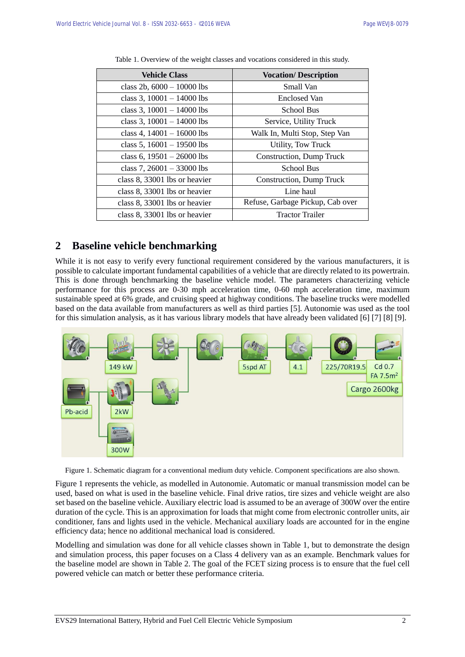| <b>Vehicle Class</b>          | <b>Vocation/Description</b>      |  |  |
|-------------------------------|----------------------------------|--|--|
| class 2b, $6000 - 10000$ lbs  | Small Van                        |  |  |
| class 3, $10001 - 14000$ lbs  | <b>Enclosed Van</b>              |  |  |
| class 3, $10001 - 14000$ lbs  | <b>School Bus</b>                |  |  |
| class 3, $10001 - 14000$ lbs  | Service, Utility Truck           |  |  |
| class 4, $14001 - 16000$ lbs  | Walk In, Multi Stop, Step Van    |  |  |
| class 5, $16001 - 19500$ lbs  | Utility, Tow Truck               |  |  |
| class 6, $19501 - 26000$ lbs  | Construction, Dump Truck         |  |  |
| class 7, $26001 - 33000$ lbs  | <b>School Bus</b>                |  |  |
| class 8, 33001 lbs or heavier | Construction, Dump Truck         |  |  |
| class 8, 33001 lbs or heavier | Line haul                        |  |  |
| class 8, 33001 lbs or heavier | Refuse, Garbage Pickup, Cab over |  |  |
| class 8, 33001 lbs or heavier | <b>Tractor Trailer</b>           |  |  |

Table 1. Overview of the weight classes and vocations considered in this study.

### **2 Baseline vehicle benchmarking**

While it is not easy to verify every functional requirement considered by the various manufacturers, it is possible to calculate important fundamental capabilities of a vehicle that are directly related to its powertrain. This is done through benchmarking the baseline vehicle model. The parameters characterizing vehicle performance for this process are 0-30 mph acceleration time, 0-60 mph acceleration time, maximum sustainable speed at 6% grade, and cruising speed at highway conditions. The baseline trucks were modelled based on the data available from manufacturers as well as third parties [5]. Autonomie was used as the tool for this simulation analysis, as it has various library models that have already been validated [6] [7] [8] [9].



Figure 1. Schematic diagram for a conventional medium duty vehicle. Component specifications are also shown.

Figure 1 represents the vehicle, as modelled in Autonomie. Automatic or manual transmission model can be used, based on what is used in the baseline vehicle. Final drive ratios, tire sizes and vehicle weight are also set based on the baseline vehicle. Auxiliary electric load is assumed to be an average of 300W over the entire duration of the cycle. This is an approximation for loads that might come from electronic controller units, air conditioner, fans and lights used in the vehicle. Mechanical auxiliary loads are accounted for in the engine efficiency data; hence no additional mechanical load is considered.

Modelling and simulation was done for all vehicle classes shown in Table 1, but to demonstrate the design and simulation process, this paper focuses on a Class 4 delivery van as an example. Benchmark values for the baseline model are shown in Table 2. The goal of the FCET sizing process is to ensure that the fuel cell powered vehicle can match or better these performance criteria.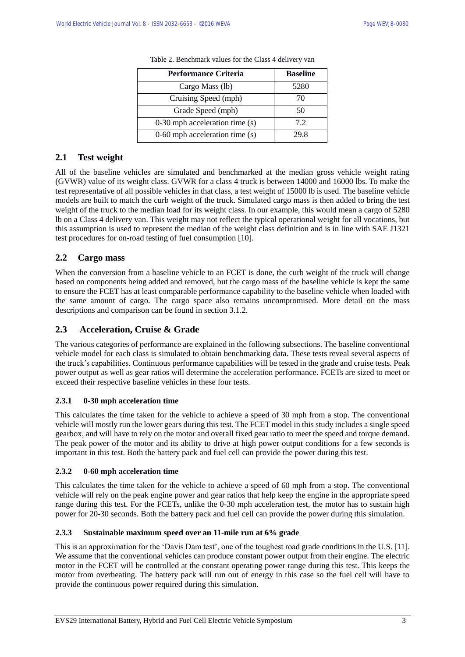| <b>Performance Criteria</b>        | <b>Baseline</b> |
|------------------------------------|-----------------|
| Cargo Mass (lb)                    | 5280            |
| Cruising Speed (mph)               | 70              |
| Grade Speed (mph)                  | 50              |
| 0-30 mph acceleration time (s)     | 72              |
| $0-60$ mph acceleration time $(s)$ | 29 R            |

Table 2. Benchmark values for the Class 4 delivery van

#### **2.1 Test weight**

All of the baseline vehicles are simulated and benchmarked at the median gross vehicle weight rating (GVWR) value of its weight class. GVWR for a class 4 truck is between 14000 and 16000 lbs. To make the test representative of all possible vehicles in that class, a test weight of 15000 lb is used. The baseline vehicle models are built to match the curb weight of the truck. Simulated cargo mass is then added to bring the test weight of the truck to the median load for its weight class. In our example, this would mean a cargo of 5280 lb on a Class 4 delivery van. This weight may not reflect the typical operational weight for all vocations, but this assumption is used to represent the median of the weight class definition and is in line with SAE J1321 test procedures for on-road testing of fuel consumption [10].

#### **2.2 Cargo mass**

When the conversion from a baseline vehicle to an FCET is done, the curb weight of the truck will change based on components being added and removed, but the cargo mass of the baseline vehicle is kept the same to ensure the FCET has at least comparable performance capability to the baseline vehicle when loaded with the same amount of cargo. The cargo space also remains uncompromised. More detail on the mass descriptions and comparison can be found in section 3.1.2.

#### **2.3 Acceleration, Cruise & Grade**

The various categories of performance are explained in the following subsections. The baseline conventional vehicle model for each class is simulated to obtain benchmarking data. These tests reveal several aspects of the truck's capabilities. Continuous performance capabilities will be tested in the grade and cruise tests. Peak power output as well as gear ratios will determine the acceleration performance. FCETs are sized to meet or exceed their respective baseline vehicles in these four tests.

#### **2.3.1 0-30 mph acceleration time**

This calculates the time taken for the vehicle to achieve a speed of 30 mph from a stop. The conventional vehicle will mostly run the lower gears during this test. The FCET model in this study includes a single speed gearbox, and will have to rely on the motor and overall fixed gear ratio to meet the speed and torque demand. The peak power of the motor and its ability to drive at high power output conditions for a few seconds is important in this test. Both the battery pack and fuel cell can provide the power during this test.

#### **2.3.2 0-60 mph acceleration time**

This calculates the time taken for the vehicle to achieve a speed of 60 mph from a stop. The conventional vehicle will rely on the peak engine power and gear ratios that help keep the engine in the appropriate speed range during this test. For the FCETs, unlike the 0-30 mph acceleration test, the motor has to sustain high power for 20-30 seconds. Both the battery pack and fuel cell can provide the power during this simulation.

#### **2.3.3 Sustainable maximum speed over an 11-mile run at 6% grade**

This is an approximation for the 'Davis Dam test', one of the toughest road grade conditions in the U.S. [11]. We assume that the conventional vehicles can produce constant power output from their engine. The electric motor in the FCET will be controlled at the constant operating power range during this test. This keeps the motor from overheating. The battery pack will run out of energy in this case so the fuel cell will have to provide the continuous power required during this simulation.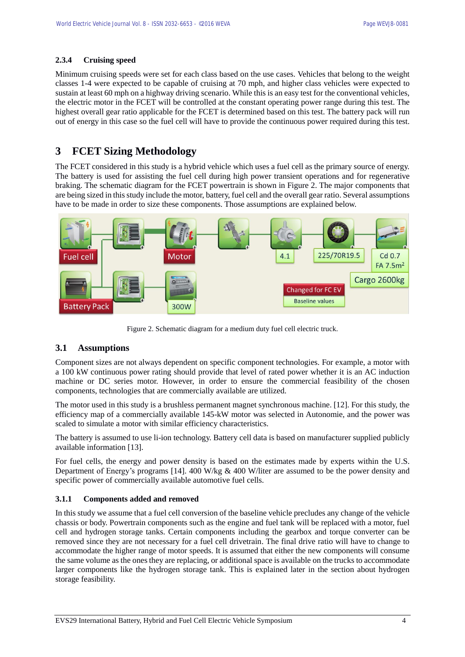#### **2.3.4 Cruising speed**

Minimum cruising speeds were set for each class based on the use cases. Vehicles that belong to the weight classes 1-4 were expected to be capable of cruising at 70 mph, and higher class vehicles were expected to sustain at least 60 mph on a highway driving scenario. While this is an easy test for the conventional vehicles, the electric motor in the FCET will be controlled at the constant operating power range during this test. The highest overall gear ratio applicable for the FCET is determined based on this test. The battery pack will run out of energy in this case so the fuel cell will have to provide the continuous power required during this test.

### **3 FCET Sizing Methodology**

The FCET considered in this study is a hybrid vehicle which uses a fuel cell as the primary source of energy. The battery is used for assisting the fuel cell during high power transient operations and for regenerative braking. The schematic diagram for the FCET powertrain is shown in Figure 2. The major components that are being sized in this study include the motor, battery, fuel cell and the overall gear ratio. Several assumptions have to be made in order to size these components. Those assumptions are explained below.



Figure 2. Schematic diagram for a medium duty fuel cell electric truck.

#### **3.1 Assumptions**

Component sizes are not always dependent on specific component technologies. For example, a motor with a 100 kW continuous power rating should provide that level of rated power whether it is an AC induction machine or DC series motor. However, in order to ensure the commercial feasibility of the chosen components, technologies that are commercially available are utilized.

The motor used in this study is a brushless permanent magnet synchronous machine. [12]. For this study, the efficiency map of a commercially available 145-kW motor was selected in Autonomie, and the power was scaled to simulate a motor with similar efficiency characteristics.

The battery is assumed to use li-ion technology. Battery cell data is based on manufacturer supplied publicly available information [13].

For fuel cells, the energy and power density is based on the estimates made by experts within the U.S. Department of Energy's programs [14]. 400 W/kg & 400 W/liter are assumed to be the power density and specific power of commercially available automotive fuel cells.

#### **3.1.1 Components added and removed**

In this study we assume that a fuel cell conversion of the baseline vehicle precludes any change of the vehicle chassis or body. Powertrain components such as the engine and fuel tank will be replaced with a motor, fuel cell and hydrogen storage tanks. Certain components including the gearbox and torque converter can be removed since they are not necessary for a fuel cell drivetrain. The final drive ratio will have to change to accommodate the higher range of motor speeds. It is assumed that either the new components will consume the same volume as the ones they are replacing, or additional space is available on the trucks to accommodate larger components like the hydrogen storage tank. This is explained later in the section about hydrogen storage feasibility.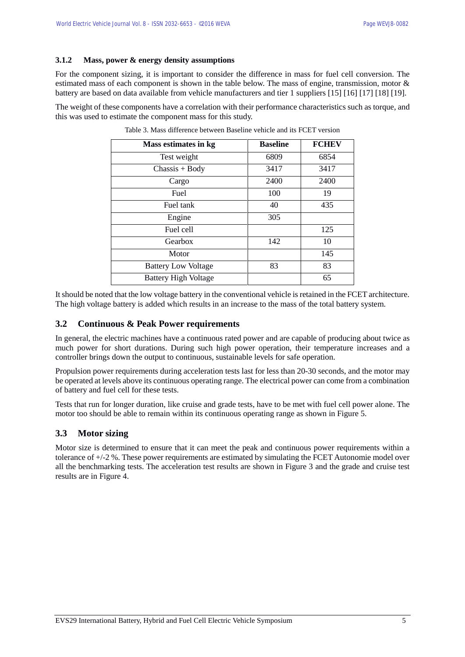#### **3.1.2 Mass, power & energy density assumptions**

For the component sizing, it is important to consider the difference in mass for fuel cell conversion. The estimated mass of each component is shown in the table below. The mass of engine, transmission, motor & battery are based on data available from vehicle manufacturers and tier 1 suppliers [15] [16] [17] [18] [19].

The weight of these components have a correlation with their performance characteristics such as torque, and this was used to estimate the component mass for this study.

| Mass estimates in kg        | <b>Baseline</b> | <b>FCHEV</b> |
|-----------------------------|-----------------|--------------|
| Test weight                 | 6809            | 6854         |
| $Chassis + Body$            | 3417            | 3417         |
| Cargo                       | 2400            | 2400         |
| Fuel                        | 100             | 19           |
| Fuel tank                   | 40              | 435          |
| Engine                      | 305             |              |
| Fuel cell                   |                 | 125          |
| Gearbox                     | 142             | 10           |
| Motor                       |                 | 145          |
| <b>Battery Low Voltage</b>  | 83              | 83           |
| <b>Battery High Voltage</b> |                 | 65           |

Table 3. Mass difference between Baseline vehicle and its FCET version

It should be noted that the low voltage battery in the conventional vehicle is retained in the FCET architecture. The high voltage battery is added which results in an increase to the mass of the total battery system.

#### **3.2 Continuous & Peak Power requirements**

In general, the electric machines have a continuous rated power and are capable of producing about twice as much power for short durations. During such high power operation, their temperature increases and a controller brings down the output to continuous, sustainable levels for safe operation.

Propulsion power requirements during acceleration tests last for less than 20-30 seconds, and the motor may be operated at levels above its continuous operating range. The electrical power can come from a combination of battery and fuel cell for these tests.

Tests that run for longer duration, like cruise and grade tests, have to be met with fuel cell power alone. The motor too should be able to remain within its continuous operating range as shown in Figure 5.

#### **3.3 Motor sizing**

Motor size is determined to ensure that it can meet the peak and continuous power requirements within a tolerance of +/-2 %. These power requirements are estimated by simulating the FCET Autonomie model over all the benchmarking tests. The acceleration test results are shown in Figure 3 and the grade and cruise test results are in Figure 4.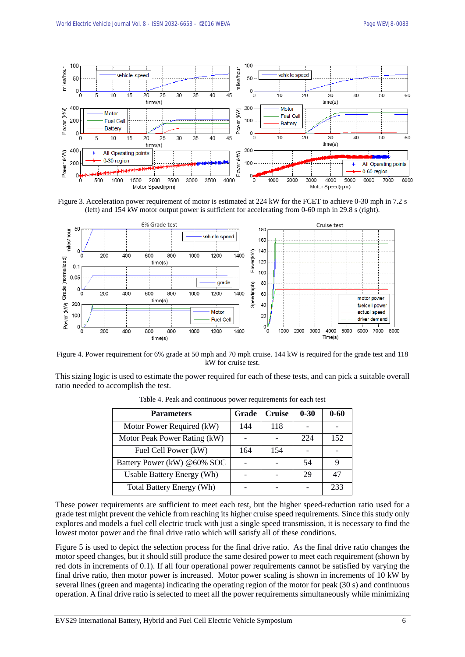

Figure 3. Acceleration power requirement of motor is estimated at 224 kW for the FCET to achieve 0-30 mph in 7.2 s (left) and 154 kW motor output power is sufficient for accelerating from 0-60 mph in 29.8 s (right).



Figure 4. Power requirement for 6% grade at 50 mph and 70 mph cruise. 144 kW is required for the grade test and 118 kW for cruise test.

This sizing logic is used to estimate the power required for each of these tests, and can pick a suitable overall ratio needed to accomplish the test.

| <b>Parameters</b>                | Grade | <b>Cruise</b> | $0 - 30$ | $0 - 60$ |
|----------------------------------|-------|---------------|----------|----------|
| Motor Power Required (kW)        | 144   | 118           |          |          |
| Motor Peak Power Rating (kW)     |       |               | 224      | 152      |
| Fuel Cell Power (kW)             | 164   | 154           |          |          |
| Battery Power (kW) @60% SOC      |       |               | 54       |          |
| Usable Battery Energy (Wh)       |       |               | 29       | 47       |
| <b>Total Battery Energy (Wh)</b> |       |               |          | 233      |

Table 4. Peak and continuous power requirements for each test

These power requirements are sufficient to meet each test, but the higher speed-reduction ratio used for a grade test might prevent the vehicle from reaching its higher cruise speed requirements. Since this study only explores and models a fuel cell electric truck with just a single speed transmission, it is necessary to find the lowest motor power and the final drive ratio which will satisfy all of these conditions.

Figure 5 is used to depict the selection process for the final drive ratio. As the final drive ratio changes the motor speed changes, but it should still produce the same desired power to meet each requirement (shown by red dots in increments of 0.1). If all four operational power requirements cannot be satisfied by varying the final drive ratio, then motor power is increased. Motor power scaling is shown in increments of 10 kW by several lines (green and magenta) indicating the operating region of the motor for peak (30 s) and continuous operation. A final drive ratio is selected to meet all the power requirements simultaneously while minimizing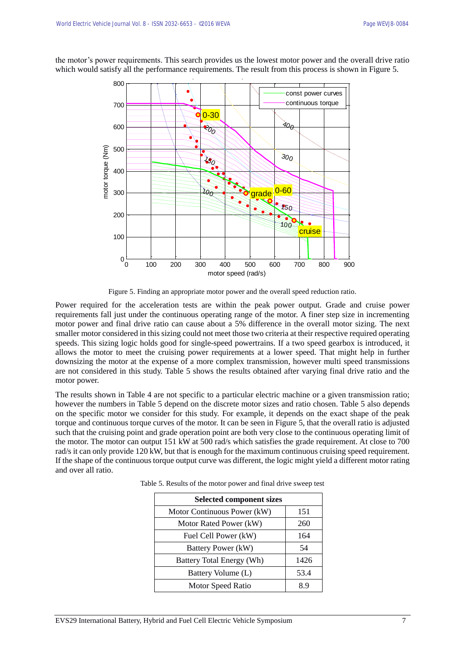300 Motor power 260kW. Speed ratio is 2.1572 800 const power curves continuous torque 700 0-30  $\dot{q}_{0}$ 200 600 motor torque (Nm) motor torque (Nm) 500  $30<sub>0</sub>$  $\Omega$ 400 **grade** 0-60 300  $\overline{\omega_0}$ 150 200 100 cruise 100  $0\frac{L}{0}$ 0 100 200 300 400 500 600 700 800 900 motor speed (rad/s)

the motor's power requirements. This search provides us the lowest motor power and the overall drive ratio which would satisfy all the performance requirements. The result from this process is shown in Figure 5.

Figure 5. Finding an appropriate motor power and the overall speed reduction ratio.

Power required for the acceleration tests are within the peak power output. Grade and cruise power requirements fall just under the continuous operating range of the motor. A finer step size in incrementing motor power and final drive ratio can cause about a 5% difference in the overall motor sizing. The next smaller motor considered in this sizing could not meet those two criteria at their respective required operating speeds. This sizing logic holds good for single-speed powertrains. If a two speed gearbox is introduced, it allows the motor to meet the cruising power requirements at a lower speed. That might help in further downsizing the motor at the expense of a more complex transmission, however multi speed transmissions are not considered in this study. Table 5 shows the results obtained after varying final drive ratio and the motor power.

The results shown in Table 4 are not specific to a particular electric machine or a given transmission ratio; however the numbers in Table 5 depend on the discrete motor sizes and ratio chosen. Table 5 also depends on the specific motor we consider for this study. For example, it depends on the exact shape of the peak torque and continuous torque curves of the motor. It can be seen in Figure 5, that the overall ratio is adjusted such that the cruising point and grade operation point are both very close to the continuous operating limit of the motor. The motor can output 151 kW at 500 rad/s which satisfies the grade requirement. At close to 700 rad/s it can only provide 120 kW, but that is enough for the maximum continuous cruising speed requirement. If the shape of the continuous torque output curve was different, the logic might yield a different motor rating and over all ratio.

| <b>Selected component sizes</b> |      |  |
|---------------------------------|------|--|
| Motor Continuous Power (kW)     | 151  |  |
| Motor Rated Power (kW)          | 260  |  |
| Fuel Cell Power (kW)            | 164  |  |
| Battery Power (kW)              | 54   |  |
| Battery Total Energy (Wh)       | 1426 |  |
| Battery Volume (L)              | 53.4 |  |
| Motor Speed Ratio               | 89   |  |

Table 5. Results of the motor power and final drive sweep test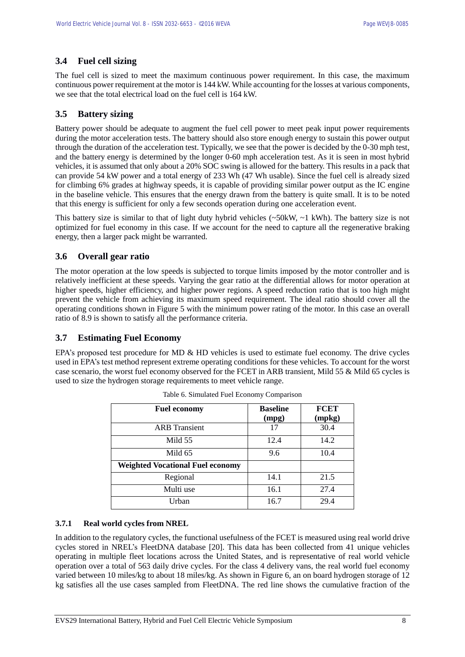### **3.4 Fuel cell sizing**

The fuel cell is sized to meet the maximum continuous power requirement. In this case, the maximum continuous power requirement at the motor is 144 kW. While accounting for the losses at various components, we see that the total electrical load on the fuel cell is 164 kW.

### **3.5 Battery sizing**

Battery power should be adequate to augment the fuel cell power to meet peak input power requirements during the motor acceleration tests. The battery should also store enough energy to sustain this power output through the duration of the acceleration test. Typically, we see that the power is decided by the 0-30 mph test, and the battery energy is determined by the longer 0-60 mph acceleration test. As it is seen in most hybrid vehicles, it is assumed that only about a 20% SOC swing is allowed for the battery. This results in a pack that can provide 54 kW power and a total energy of 233 Wh (47 Wh usable). Since the fuel cell is already sized for climbing 6% grades at highway speeds, it is capable of providing similar power output as the IC engine in the baseline vehicle. This ensures that the energy drawn from the battery is quite small. It is to be noted that this energy is sufficient for only a few seconds operation during one acceleration event.

This battery size is similar to that of light duty hybrid vehicles ( $\sim$ 50kW,  $\sim$ 1 kWh). The battery size is not optimized for fuel economy in this case. If we account for the need to capture all the regenerative braking energy, then a larger pack might be warranted.

### **3.6 Overall gear ratio**

The motor operation at the low speeds is subjected to torque limits imposed by the motor controller and is relatively inefficient at these speeds. Varying the gear ratio at the differential allows for motor operation at higher speeds, higher efficiency, and higher power regions. A speed reduction ratio that is too high might prevent the vehicle from achieving its maximum speed requirement. The ideal ratio should cover all the operating conditions shown in Figure 5 with the minimum power rating of the motor. In this case an overall ratio of 8.9 is shown to satisfy all the performance criteria.

#### **3.7 Estimating Fuel Economy**

EPA's proposed test procedure for MD & HD vehicles is used to estimate fuel economy. The drive cycles used in EPA's test method represent extreme operating conditions for these vehicles. To account for the worst case scenario, the worst fuel economy observed for the FCET in ARB transient, Mild 55 & Mild 65 cycles is used to size the hydrogen storage requirements to meet vehicle range.

| <b>Fuel economy</b>                     | <b>Baseline</b><br>(mpg) | <b>FCET</b><br>(mpkg) |
|-----------------------------------------|--------------------------|-----------------------|
| <b>ARB</b> Transient                    | 17                       | 30.4                  |
| Mild 55                                 | 12.4                     | 14.2                  |
| Mild 65                                 | 9.6                      | 10.4                  |
| <b>Weighted Vocational Fuel economy</b> |                          |                       |
| Regional                                | 14.1                     | 21.5                  |
| Multi use                               | 16.1                     | 27.4                  |
| Urban                                   | 16.7                     | 29.4                  |

Table 6. Simulated Fuel Economy Comparison

#### **3.7.1 Real world cycles from NREL**

In addition to the regulatory cycles, the functional usefulness of the FCET is measured using real world drive cycles stored in NREL's FleetDNA database [20]. This data has been collected from 41 unique vehicles operating in multiple fleet locations across the United States, and is representative of real world vehicle operation over a total of 563 daily drive cycles. For the class 4 delivery vans, the real world fuel economy varied between 10 miles/kg to about 18 miles/kg. As shown in Figure 6, an on board hydrogen storage of 12 kg satisfies all the use cases sampled from FleetDNA. The red line shows the cumulative fraction of the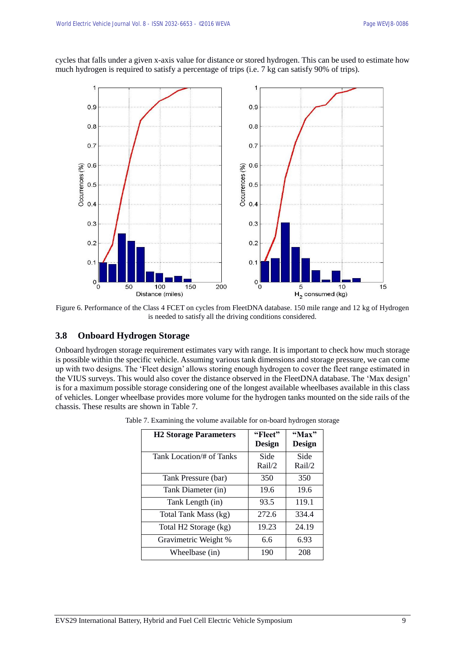cycles that falls under a given x-axis value for distance or stored hydrogen. This can be used to estimate how much hydrogen is required to satisfy a percentage of trips (i.e. 7 kg can satisfy 90% of trips).



Figure 6. Performance of the Class 4 FCET on cycles from FleetDNA database. 150 mile range and 12 kg of Hydrogen is needed to satisfy all the driving conditions considered.

#### **3.8 Onboard Hydrogen Storage**

Onboard hydrogen storage requirement estimates vary with range. It is important to check how much storage is possible within the specific vehicle. Assuming various tank dimensions and storage pressure, we can come up with two designs. The 'Fleet design' allows storing enough hydrogen to cover the fleet range estimated in the VIUS surveys. This would also cover the distance observed in the FleetDNA database. The 'Max design' is for a maximum possible storage considering one of the longest available wheelbases available in this class of vehicles. Longer wheelbase provides more volume for the hydrogen tanks mounted on the side rails of the chassis. These results are shown in Table 7.

| <b>H2 Storage Parameters</b>      | "Fleet"<br>Design | "Max"<br>Design |
|-----------------------------------|-------------------|-----------------|
| Tank Location/# of Tanks          | Side<br>Rail/2    | Side<br>Rail/2  |
| Tank Pressure (bar)               | 350               | 350             |
| Tank Diameter (in)                | 19.6              | 19.6            |
| Tank Length (in)                  | 93.5              | 119.1           |
| Total Tank Mass (kg)              | 272.6             | 334.4           |
| Total H <sub>2</sub> Storage (kg) | 19.23             | 24.19           |
| Gravimetric Weight %              | 6.6               | 6.93            |
| Wheelbase (in)                    | 190               | 208             |

Table 7. Examining the volume available for on-board hydrogen storage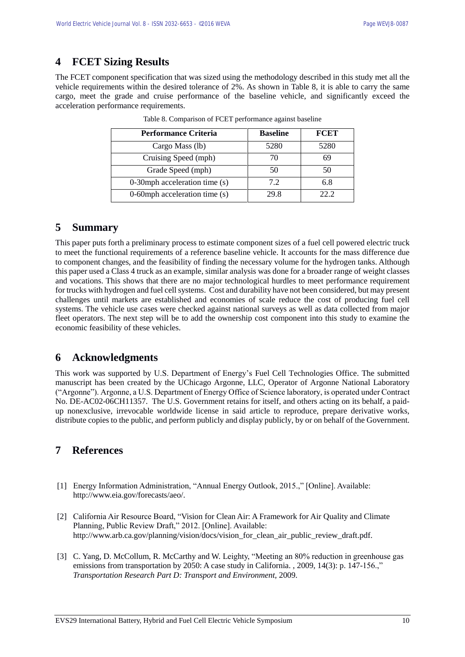## **4 FCET Sizing Results**

The FCET component specification that was sized using the methodology described in this study met all the vehicle requirements within the desired tolerance of 2%. As shown in Table 8, it is able to carry the same cargo, meet the grade and cruise performance of the baseline vehicle, and significantly exceed the acceleration performance requirements.

| <b>Performance Criteria</b>     | <b>Baseline</b> | <b>FCET</b> |
|---------------------------------|-----------------|-------------|
| Cargo Mass (lb)                 | 5280            | 5280        |
| Cruising Speed (mph)            | 70              | 69          |
| Grade Speed (mph)               | 50              | 50          |
| 0-30mph acceleration time (s)   | 7.2             | 6.8         |
| 0-60mph acceleration time $(s)$ | 29.8            | 22 Z        |

Table 8. Comparison of FCET performance against baseline

## **5 Summary**

This paper puts forth a preliminary process to estimate component sizes of a fuel cell powered electric truck to meet the functional requirements of a reference baseline vehicle. It accounts for the mass difference due to component changes, and the feasibility of finding the necessary volume for the hydrogen tanks. Although this paper used a Class 4 truck as an example, similar analysis was done for a broader range of weight classes and vocations. This shows that there are no major technological hurdles to meet performance requirement for trucks with hydrogen and fuel cell systems. Cost and durability have not been considered, but may present challenges until markets are established and economies of scale reduce the cost of producing fuel cell systems. The vehicle use cases were checked against national surveys as well as data collected from major fleet operators. The next step will be to add the ownership cost component into this study to examine the economic feasibility of these vehicles.

## **6 Acknowledgments**

This work was supported by U.S. Department of Energy's Fuel Cell Technologies Office. The submitted manuscript has been created by the UChicago Argonne, LLC, Operator of Argonne National Laboratory ("Argonne"). Argonne, a U.S. Department of Energy Office of Science laboratory, is operated under Contract No. DE-AC02-06CH11357. The U.S. Government retains for itself, and others acting on its behalf, a paidup nonexclusive, irrevocable worldwide license in said article to reproduce, prepare derivative works, distribute copies to the public, and perform publicly and display publicly, by or on behalf of the Government.

## **7 References**

- [1] Energy Information Administration, "Annual Energy Outlook, 2015.," [Online]. Available: http://www.eia.gov/forecasts/aeo/.
- [2] California Air Resource Board, "Vision for Clean Air: A Framework for Air Quality and Climate Planning, Public Review Draft," 2012. [Online]. Available: http://www.arb.ca.gov/planning/vision/docs/vision\_for\_clean\_air\_public\_review\_draft.pdf.
- [3] C. Yang, D. McCollum, R. McCarthy and W. Leighty, "Meeting an 80% reduction in greenhouse gas emissions from transportation by 2050: A case study in California. , 2009, 14(3): p. 147-156.," *Transportation Research Part D: Transport and Environment,* 2009.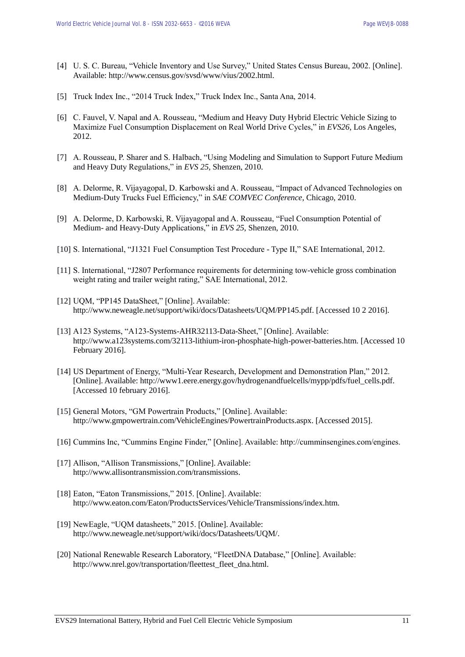- [4] U. S. C. Bureau, "Vehicle Inventory and Use Survey," United States Census Bureau, 2002. [Online]. Available: http://www.census.gov/svsd/www/vius/2002.html.
- [5] Truck Index Inc., "2014 Truck Index," Truck Index Inc., Santa Ana, 2014.
- [6] C. Fauvel, V. Napal and A. Rousseau, "Medium and Heavy Duty Hybrid Electric Vehicle Sizing to Maximize Fuel Consumption Displacement on Real World Drive Cycles," in *EVS26*, Los Angeles, 2012.
- [7] A. Rousseau, P. Sharer and S. Halbach, "Using Modeling and Simulation to Support Future Medium and Heavy Duty Regulations," in *EVS 25*, Shenzen, 2010.
- [8] A. Delorme, R. Vijayagopal, D. Karbowski and A. Rousseau, "Impact of Advanced Technologies on Medium-Duty Trucks Fuel Efficiency," in *SAE COMVEC Conference*, Chicago, 2010.
- [9] A. Delorme, D. Karbowski, R. Vijayagopal and A. Rousseau, "Fuel Consumption Potential of Medium- and Heavy-Duty Applications," in *EVS 25*, Shenzen, 2010.
- [10] S. International, "J1321 Fuel Consumption Test Procedure Type II," SAE International, 2012.
- [11] S. International, "J2807 Performance requirements for determining tow-vehicle gross combination weight rating and trailer weight rating," SAE International, 2012.
- [12] UQM, "PP145 DataSheet," [Online]. Available: http://www.neweagle.net/support/wiki/docs/Datasheets/UQM/PP145.pdf. [Accessed 10 2 2016].
- [13] A123 Systems, "A123-Systems-AHR32113-Data-Sheet," [Online]. Available: http://www.a123systems.com/32113-lithium-iron-phosphate-high-power-batteries.htm. [Accessed 10 February 2016].
- [14] US Department of Energy, "Multi-Year Research, Development and Demonstration Plan," 2012. [Online]. Available: http://www1.eere.energy.gov/hydrogenandfuelcells/mypp/pdfs/fuel\_cells.pdf. [Accessed 10 february 2016].
- [15] General Motors, "GM Powertrain Products," [Online]. Available: http://www.gmpowertrain.com/VehicleEngines/PowertrainProducts.aspx. [Accessed 2015].
- [16] Cummins Inc, "Cummins Engine Finder," [Online]. Available: http://cumminsengines.com/engines.
- [17] Allison, "Allison Transmissions," [Online]. Available: http://www.allisontransmission.com/transmissions.
- [18] Eaton, "Eaton Transmissions," 2015. [Online]. Available: http://www.eaton.com/Eaton/ProductsServices/Vehicle/Transmissions/index.htm.
- [19] NewEagle, "UQM datasheets," 2015. [Online]. Available: http://www.neweagle.net/support/wiki/docs/Datasheets/UQM/.
- [20] National Renewable Research Laboratory, "FleetDNA Database," [Online]. Available: http://www.nrel.gov/transportation/fleettest\_fleet\_dna.html.